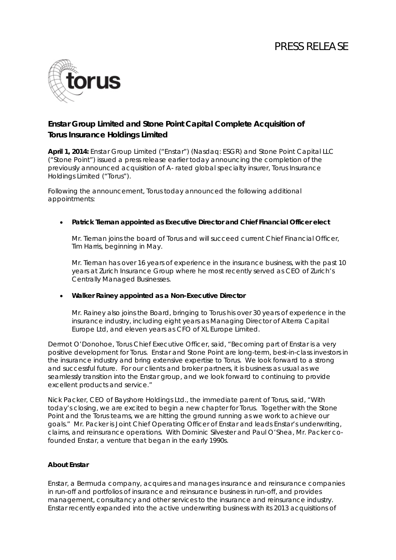# PRESS RELEASE



# **Enstar Group Limited and Stone Point Capital Complete Acquisition of Torus Insurance Holdings Limited**

**April 1, 2014:** Enstar Group Limited ("Enstar") (Nasdaq: ESGR) and Stone Point Capital LLC ("Stone Point") issued a press release earlier today announcing the completion of the previously announced acquisition of A- rated global specialty insurer, Torus Insurance Holdings Limited ("Torus").

Following the announcement, Torus today announced the following additional appointments:

# • **Patrick Tiernan appointed as Executive Director and Chief Financial Officer elect**

Mr. Tiernan joins the board of Torus and will succeed current Chief Financial Officer, Tim Harris, beginning in May.

Mr. Tiernan has over 16 years of experience in the insurance business, with the past 10 years at Zurich Insurance Group where he most recently served as CEO of Zurich's Centrally Managed Businesses.

#### • **Walker Rainey appointed as a Non-Executive Director**

Mr. Rainey also joins the Board, bringing to Torus his over 30 years of experience in the insurance industry, including eight years as Managing Director of Alterra Capital Europe Ltd, and eleven years as CFO of XL Europe Limited.

Dermot O'Donohoe, Torus Chief Executive Officer, said, "Becoming part of Enstar is a very positive development for Torus. Enstar and Stone Point are long-term, best-in-class investors in the insurance industry and bring extensive expertise to Torus. We look forward to a strong and successful future. For our clients and broker partners, it is business as usual as we seamlessly transition into the Enstar group, and we look forward to continuing to provide excellent products and service."

Nick Packer, CEO of Bayshore Holdings Ltd., the immediate parent of Torus, said, "With today's closing, we are excited to begin a new chapter for Torus. Together with the Stone Point and the Torus teams, we are hitting the ground running as we work to achieve our goals." Mr. Packer is Joint Chief Operating Officer of Enstar and leads Enstar's underwriting, claims, and reinsurance operations. With Dominic Silvester and Paul O'Shea, Mr. Packer cofounded Enstar, a venture that began in the early 1990s.

# **About Enstar**

Enstar, a Bermuda company, acquires and manages insurance and reinsurance companies in run-off and portfolios of insurance and reinsurance business in run-off, and provides management, consultancy and other services to the insurance and reinsurance industry. Enstar recently expanded into the active underwriting business with its 2013 acquisitions of